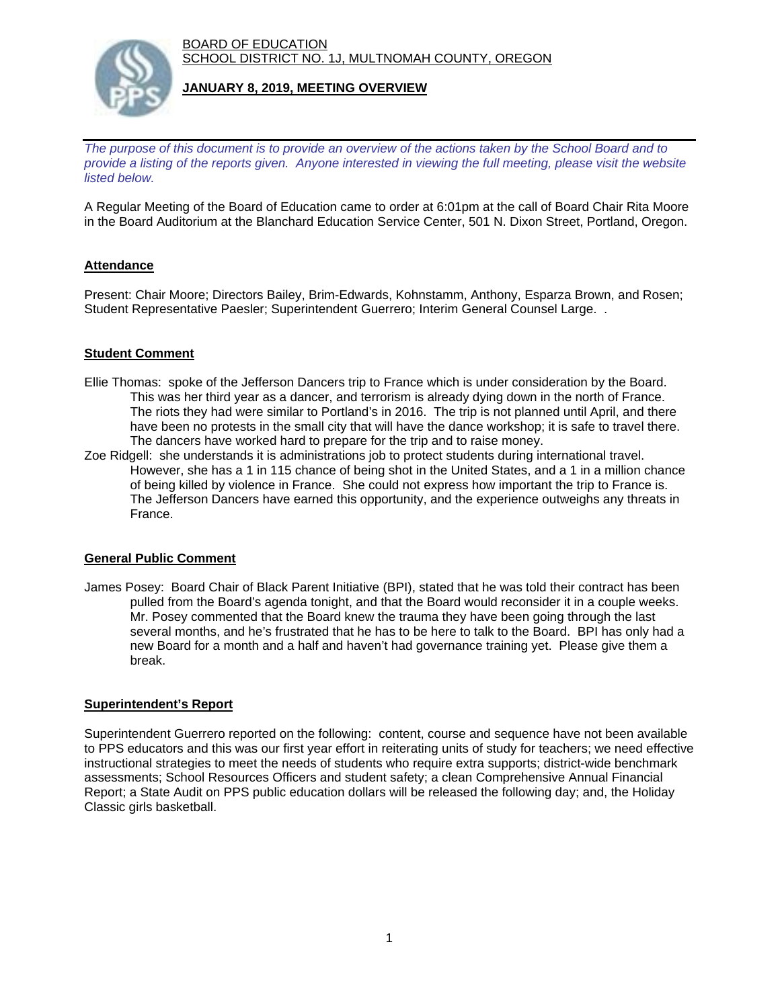BOARD OF EDUCATION SCHOOL DISTRICT NO. 1J, MULTNOMAH COUNTY, OREGON



# **JANUARY 8, 2019, MEETING OVERVIEW**

*The purpose of this document is to provide an overview of the actions taken by the School Board and to provide a listing of the reports given. Anyone interested in viewing the full meeting, please visit the website listed below.*

A Regular Meeting of the Board of Education came to order at 6:01pm at the call of Board Chair Rita Moore in the Board Auditorium at the Blanchard Education Service Center, 501 N. Dixon Street, Portland, Oregon.

# **Attendance**

Present: Chair Moore; Directors Bailey, Brim-Edwards, Kohnstamm, Anthony, Esparza Brown, and Rosen; Student Representative Paesler; Superintendent Guerrero; Interim General Counsel Large. .

# **Student Comment**

- Ellie Thomas: spoke of the Jefferson Dancers trip to France which is under consideration by the Board. This was her third year as a dancer, and terrorism is already dying down in the north of France. The riots they had were similar to Portland's in 2016. The trip is not planned until April, and there have been no protests in the small city that will have the dance workshop; it is safe to travel there. The dancers have worked hard to prepare for the trip and to raise money.
- Zoe Ridgell: she understands it is administrations job to protect students during international travel. However, she has a 1 in 115 chance of being shot in the United States, and a 1 in a million chance of being killed by violence in France. She could not express how important the trip to France is. The Jefferson Dancers have earned this opportunity, and the experience outweighs any threats in France.

#### **General Public Comment**

James Posey: Board Chair of Black Parent Initiative (BPI), stated that he was told their contract has been pulled from the Board's agenda tonight, and that the Board would reconsider it in a couple weeks. Mr. Posey commented that the Board knew the trauma they have been going through the last several months, and he's frustrated that he has to be here to talk to the Board. BPI has only had a new Board for a month and a half and haven't had governance training yet. Please give them a break.

#### **Superintendent's Report**

Superintendent Guerrero reported on the following: content, course and sequence have not been available to PPS educators and this was our first year effort in reiterating units of study for teachers; we need effective instructional strategies to meet the needs of students who require extra supports; district-wide benchmark assessments; School Resources Officers and student safety; a clean Comprehensive Annual Financial Report; a State Audit on PPS public education dollars will be released the following day; and, the Holiday Classic girls basketball.